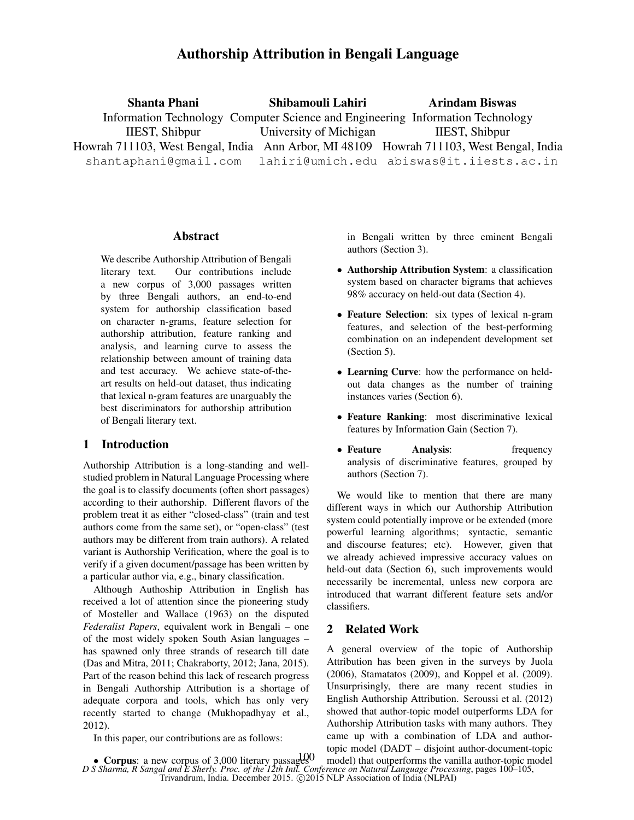# Authorship Attribution in Bengali Language

Shanta Phani Information Technology Computer Science and Engineering Information Technology IIEST, Shibpur Howrah 711103, West Bengal, India Ann Arbor, MI 48109 Howrah 711103, West Bengal, India shantaphani@gmail.com Shibamouli Lahiri University of Michigan lahiri@umich.edu abiswas@it.iiests.ac.in Arindam Biswas IIEST, Shibpur

#### **Abstract**

We describe Authorship Attribution of Bengali literary text. Our contributions include a new corpus of 3,000 passages written by three Bengali authors, an end-to-end system for authorship classification based on character n-grams, feature selection for authorship attribution, feature ranking and analysis, and learning curve to assess the relationship between amount of training data and test accuracy. We achieve state-of-theart results on held-out dataset, thus indicating that lexical n-gram features are unarguably the best discriminators for authorship attribution of Bengali literary text.

# 1 Introduction

Authorship Attribution is a long-standing and wellstudied problem in Natural Language Processing where the goal is to classify documents (often short passages) according to their authorship. Different flavors of the problem treat it as either "closed-class" (train and test authors come from the same set), or "open-class" (test authors may be different from train authors). A related variant is Authorship Verification, where the goal is to verify if a given document/passage has been written by a particular author via, e.g., binary classification.

Although Authoship Attribution in English has received a lot of attention since the pioneering study of Mosteller and Wallace (1963) on the disputed *Federalist Papers*, equivalent work in Bengali – one of the most widely spoken South Asian languages – has spawned only three strands of research till date (Das and Mitra, 2011; Chakraborty, 2012; Jana, 2015). Part of the reason behind this lack of research progress in Bengali Authorship Attribution is a shortage of adequate corpora and tools, which has only very recently started to change (Mukhopadhyay et al., 2012).

In this paper, our contributions are as follows:

in Bengali written by three eminent Bengali authors (Section 3).

- Authorship Attribution System: a classification system based on character bigrams that achieves 98% accuracy on held-out data (Section 4).
- Feature Selection: six types of lexical n-gram features, and selection of the best-performing combination on an independent development set (Section 5).
- Learning Curve: how the performance on heldout data changes as the number of training instances varies (Section 6).
- Feature Ranking: most discriminative lexical features by Information Gain (Section 7).
- Feature Analysis: frequency analysis of discriminative features, grouped by authors (Section 7).

We would like to mention that there are many different ways in which our Authorship Attribution system could potentially improve or be extended (more powerful learning algorithms; syntactic, semantic and discourse features; etc). However, given that we already achieved impressive accuracy values on held-out data (Section 6), such improvements would necessarily be incremental, unless new corpora are introduced that warrant different feature sets and/or classifiers.

# 2 Related Work

A general overview of the topic of Authorship Attribution has been given in the surveys by Juola (2006), Stamatatos (2009), and Koppel et al. (2009). Unsurprisingly, there are many recent studies in English Authorship Attribution. Seroussi et al. (2012) showed that author-topic model outperforms LDA for Authorship Attribution tasks with many authors. They came up with a combination of LDA and authortopic model (DADT – disjoint author-document-topic

*D S Sharma, R Sangal and E Sherly. Proc. of the 12th Intl. Conference on Natural Language Processing*, pages 100–105, Trivandrum, India. December 2015. © 2015 NLP Association of India (NLPAI) • Corpus: a new corpus of 3,000 literary passages  $\frac{100}{20}$  model) that outperforms the vanilla author-topic model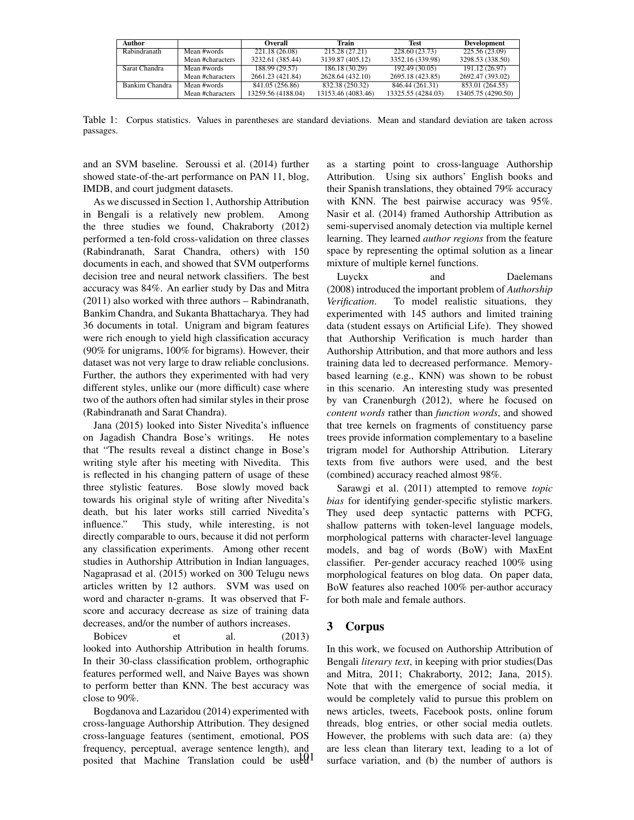| Author         |                  | <b>Overall</b>     | Train              | <b>Test</b>        | <b>Development</b> |
|----------------|------------------|--------------------|--------------------|--------------------|--------------------|
| Rabindranath   | Mean #words      | 221.18 (26.08)     | 215.28 (27.21)     | 228.60 (23.73)     | 225.56 (23.09)     |
|                | Mean #characters | 3232.61 (385.44)   | 3139.87 (405.12)   | 3352.16 (339.98)   | 3298.53 (338.50)   |
| Sarat Chandra  | Mean #words      | 188.99 (29.57)     | 186.18 (30.29)     | 192.49 (30.05)     | 191.12 (26.97)     |
|                | Mean #characters | 2661.23 (421.84)   | 2628.64 (432.10)   | 2695.18 (423.85)   | 2692.47 (393.02)   |
| Bankim Chandra | Mean #words      | 841.05 (256.86)    | 832.38 (250.32)    | 846.44 (261.31)    | 853.01 (264.55)    |
|                | Mean #characters | 13259.56 (4188.04) | 13153.46 (4083.46) | 13325.55 (4284.03) | 13405.75 (4290.50) |

Table 1: Corpus statistics. Values in parentheses are standard deviations. Mean and standard deviation are taken across passages.

and an SVM baseline. Seroussi et al. (2014) further showed state-of-the-art performance on PAN 11, blog, IMDB, and court judgment datasets.

As we discussed in Section 1, Authorship Attribution in Bengali is a relatively new problem. Among the three studies we found, Chakraborty (2012) performed a ten-fold cross-validation on three classes (Rabindranath, Sarat Chandra, others) with 150 documents in each, and showed that SVM outperforms decision tree and neural network classifiers. The best accuracy was 84%. An earlier study by Das and Mitra (2011) also worked with three authors – Rabindranath, Bankim Chandra, and Sukanta Bhattacharya. They had 36 documents in total. Unigram and bigram features were rich enough to yield high classification accuracy (90% for unigrams, 100% for bigrams). However, their dataset was not very large to draw reliable conclusions. Further, the authors they experimented with had very different styles, unlike our (more difficult) case where two of the authors often had similar styles in their prose (Rabindranath and Sarat Chandra).

Jana (2015) looked into Sister Nivedita's influence on Jagadish Chandra Bose's writings. He notes that "The results reveal a distinct change in Bose's writing style after his meeting with Nivedita. This is reflected in his changing pattern of usage of these three stylistic features. Bose slowly moved back towards his original style of writing after Nivedita's death, but his later works still carried Nivedita's influence." This study, while interesting, is not directly comparable to ours, because it did not perform any classification experiments. Among other recent studies in Authorship Attribution in Indian languages, Nagaprasad et al. (2015) worked on 300 Telugu news articles written by 12 authors. SVM was used on word and character n-grams. It was observed that Fscore and accuracy decrease as size of training data decreases, and/or the number of authors increases.

Bobicev et al. (2013) looked into Authorship Attribution in health forums. In their 30-class classification problem, orthographic features performed well, and Naive Bayes was shown to perform better than KNN. The best accuracy was close to 90%.

Bogdanova and Lazaridou (2014) experimented with cross-language Authorship Attribution. They designed cross-language features (sentiment, emotional, POS frequency, perceptual, average sentence length), and posited that Machine Translation could be used<sup>1</sup> as a starting point to cross-language Authorship Attribution. Using six authors' English books and their Spanish translations, they obtained 79% accuracy with KNN. The best pairwise accuracy was 95%. Nasir et al. (2014) framed Authorship Attribution as semi-supervised anomaly detection via multiple kernel learning. They learned *author regions* from the feature space by representing the optimal solution as a linear mixture of multiple kernel functions.

Luyckx and Daelemans (2008) introduced the important problem of *Authorship Verification*. To model realistic situations, they experimented with 145 authors and limited training data (student essays on Artificial Life). They showed that Authorship Verification is much harder than Authorship Attribution, and that more authors and less training data led to decreased performance. Memorybased learning (e.g., KNN) was shown to be robust in this scenario. An interesting study was presented by van Cranenburgh (2012), where he focused on *content words* rather than *function words*, and showed that tree kernels on fragments of constituency parse trees provide information complementary to a baseline trigram model for Authorship Attribution. Literary texts from five authors were used, and the best (combined) accuracy reached almost 98%.

Sarawgi et al. (2011) attempted to remove *topic bias* for identifying gender-specific stylistic markers. They used deep syntactic patterns with PCFG, shallow patterns with token-level language models, morphological patterns with character-level language models, and bag of words (BoW) with MaxEnt classifier. Per-gender accuracy reached 100% using morphological features on blog data. On paper data, BoW features also reached 100% per-author accuracy for both male and female authors.

# 3 Corpus

In this work, we focused on Authorship Attribution of Bengali *literary text*, in keeping with prior studies(Das and Mitra, 2011; Chakraborty, 2012; Jana, 2015). Note that with the emergence of social media, it would be completely valid to pursue this problem on news articles, tweets, Facebook posts, online forum threads, blog entries, or other social media outlets. However, the problems with such data are: (a) they are less clean than literary text, leading to a lot of surface variation, and (b) the number of authors is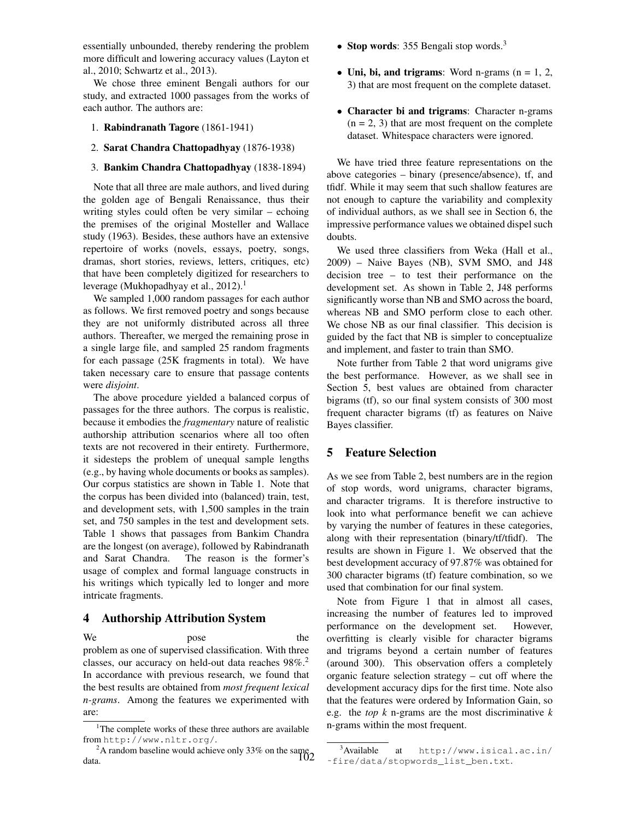essentially unbounded, thereby rendering the problem more difficult and lowering accuracy values (Layton et al., 2010; Schwartz et al., 2013).

We chose three eminent Bengali authors for our study, and extracted 1000 passages from the works of each author. The authors are:

- 1. Rabindranath Tagore (1861-1941)
- 2. Sarat Chandra Chattopadhyay (1876-1938)
- 3. Bankim Chandra Chattopadhyay (1838-1894)

Note that all three are male authors, and lived during the golden age of Bengali Renaissance, thus their writing styles could often be very similar – echoing the premises of the original Mosteller and Wallace study (1963). Besides, these authors have an extensive repertoire of works (novels, essays, poetry, songs, dramas, short stories, reviews, letters, critiques, etc) that have been completely digitized for researchers to leverage (Mukhopadhyay et al.,  $2012$ ).<sup>1</sup>

We sampled 1,000 random passages for each author as follows. We first removed poetry and songs because they are not uniformly distributed across all three authors. Thereafter, we merged the remaining prose in a single large file, and sampled 25 random fragments for each passage (25K fragments in total). We have taken necessary care to ensure that passage contents were *disjoint*.

The above procedure yielded a balanced corpus of passages for the three authors. The corpus is realistic, because it embodies the *fragmentary* nature of realistic authorship attribution scenarios where all too often texts are not recovered in their entirety. Furthermore, it sidesteps the problem of unequal sample lengths (e.g., by having whole documents or books as samples). Our corpus statistics are shown in Table 1. Note that the corpus has been divided into (balanced) train, test, and development sets, with 1,500 samples in the train set, and 750 samples in the test and development sets. Table 1 shows that passages from Bankim Chandra are the longest (on average), followed by Rabindranath and Sarat Chandra. The reason is the former's usage of complex and formal language constructs in his writings which typically led to longer and more intricate fragments.

### 4 Authorship Attribution System

We pose the problem as one of supervised classification. With three classes, our accuracy on held-out data reaches 98%.<sup>2</sup> In accordance with previous research, we found that the best results are obtained from *most frequent lexical n-grams*. Among the features we experimented with are:

- Stop words: 355 Bengali stop words.<sup>3</sup>
- Uni, bi, and trigrams: Word n-grams  $(n = 1, 2, ...)$ 3) that are most frequent on the complete dataset.
- Character bi and trigrams: Character n-grams  $(n = 2, 3)$  that are most frequent on the complete dataset. Whitespace characters were ignored.

We have tried three feature representations on the above categories – binary (presence/absence), tf, and tfidf. While it may seem that such shallow features are not enough to capture the variability and complexity of individual authors, as we shall see in Section 6, the impressive performance values we obtained dispel such doubts.

We used three classifiers from Weka (Hall et al., 2009) – Naive Bayes (NB), SVM SMO, and J48 decision tree – to test their performance on the development set. As shown in Table 2, J48 performs significantly worse than NB and SMO across the board, whereas NB and SMO perform close to each other. We chose NB as our final classifier. This decision is guided by the fact that NB is simpler to conceptualize and implement, and faster to train than SMO.

Note further from Table 2 that word unigrams give the best performance. However, as we shall see in Section 5, best values are obtained from character bigrams (tf), so our final system consists of 300 most frequent character bigrams (tf) as features on Naive Bayes classifier.

### 5 Feature Selection

As we see from Table 2, best numbers are in the region of stop words, word unigrams, character bigrams, and character trigrams. It is therefore instructive to look into what performance benefit we can achieve by varying the number of features in these categories, along with their representation (binary/tf/tfidf). The results are shown in Figure 1. We observed that the best development accuracy of 97.87% was obtained for 300 character bigrams (tf) feature combination, so we used that combination for our final system.

Note from Figure 1 that in almost all cases, increasing the number of features led to improved performance on the development set. However, overfitting is clearly visible for character bigrams and trigrams beyond a certain number of features (around 300). This observation offers a completely organic feature selection strategy – cut off where the development accuracy dips for the first time. Note also that the features were ordered by Information Gain, so e.g. the *top k* n-grams are the most discriminative *k* n-grams within the most frequent.

<sup>&</sup>lt;sup>1</sup>The complete works of these three authors are available from http://www.nltr.org/.

<sup>&</sup>lt;sup>2</sup>A random baseline would achieve only 33% on the same  $\frac{10}{2}$ data.

<sup>3</sup>Available at http://www.isical.ac.in/ ˜fire/data/stopwords\_list\_ben.txt.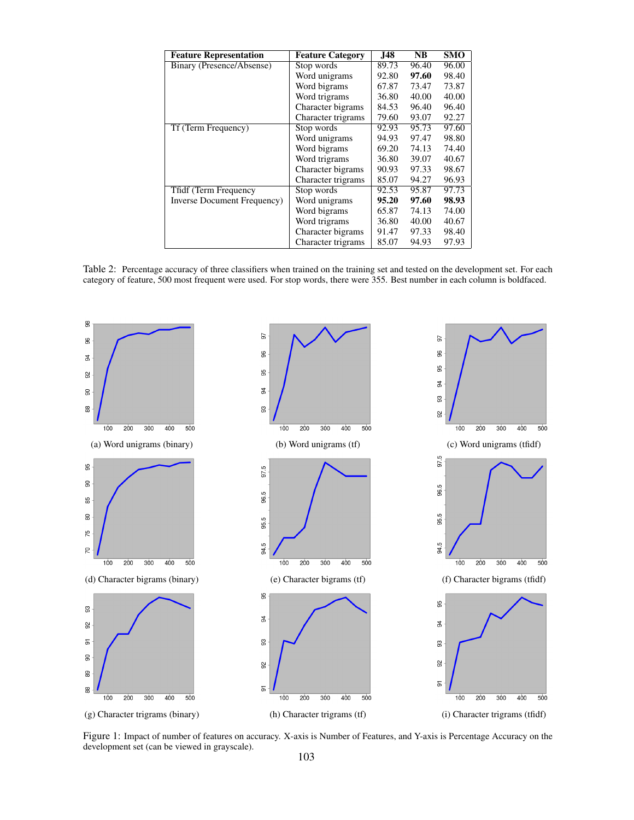| <b>Feature Representation</b> | <b>Feature Category</b> | <b>J48</b> | NB    | <b>SMO</b> |
|-------------------------------|-------------------------|------------|-------|------------|
| Binary (Presence/Absense)     | Stop words              | 89.73      | 96.40 | 96.00      |
|                               | Word unigrams           | 92.80      | 97.60 | 98.40      |
|                               | Word bigrams            | 67.87      | 73.47 | 73.87      |
|                               | Word trigrams           | 36.80      | 40.00 | 40.00      |
|                               | Character bigrams       | 84.53      | 96.40 | 96.40      |
|                               | Character trigrams      | 79.60      | 93.07 | 92.27      |
| Tf (Term Frequency)           | Stop words              | 92.93      | 95.73 | 97.60      |
|                               | Word unigrams           | 94.93      | 97.47 | 98.80      |
|                               | Word bigrams            | 69.20      | 74.13 | 74.40      |
|                               | Word trigrams           | 36.80      | 39.07 | 40.67      |
|                               | Character bigrams       | 90.93      | 97.33 | 98.67      |
|                               | Character trigrams      | 85.07      | 94.27 | 96.93      |
| Tfidf (Term Frequency         | Stop words              | 92.53      | 95.87 | 97.73      |
| Inverse Document Frequency)   | Word unigrams           | 95.20      | 97.60 | 98.93      |
|                               | Word bigrams            | 65.87      | 74.13 | 74.00      |
|                               | Word trigrams           | 36.80      | 40.00 | 40.67      |
|                               | Character bigrams       | 91.47      | 97.33 | 98.40      |
|                               | Character trigrams      | 85.07      | 94.93 | 97.93      |

Table 2: Percentage accuracy of three classifiers when trained on the training set and tested on the development set. For each category of feature, 500 most frequent were used. For stop words, there were 355. Best number in each column is boldfaced.



Figure 1: Impact of number of features on accuracy. X-axis is Number of Features, and Y-axis is Percentage Accuracy on the development set (can be viewed in grayscale).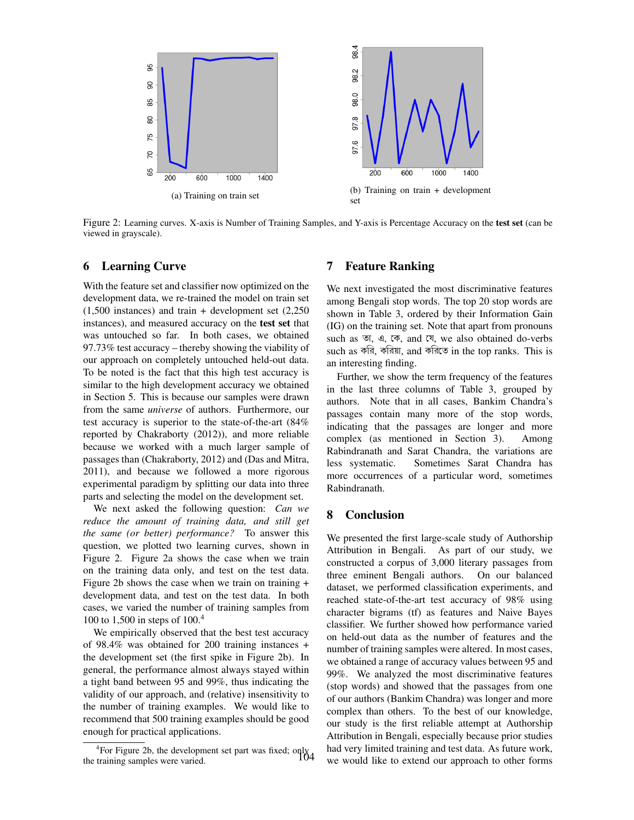

Figure 2: Learning curves. X-axis is Number of Training Samples, and Y-axis is Percentage Accuracy on the test set (can be viewed in grayscale).

#### 6 Learning Curve

With the feature set and classifier now optimized on the development data, we re-trained the model on train set (1,500 instances) and train + development set (2,250 instances), and measured accuracy on the test set that was untouched so far. In both cases, we obtained 97.73% test accuracy – thereby showing the viability of our approach on completely untouched held-out data. To be noted is the fact that this high test accuracy is similar to the high development accuracy we obtained in Section 5. This is because our samples were drawn from the same *universe* of authors. Furthermore, our test accuracy is superior to the state-of-the-art (84% reported by Chakraborty (2012)), and more reliable because we worked with a much larger sample of passages than (Chakraborty, 2012) and (Das and Mitra, 2011), and because we followed a more rigorous experimental paradigm by splitting our data into three parts and selecting the model on the development set.

We next asked the following question: *Can we reduce the amount of training data, and still get the same (or better) performance?* To answer this question, we plotted two learning curves, shown in Figure 2. Figure 2a shows the case when we train on the training data only, and test on the test data. Figure 2b shows the case when we train on training + development data, and test on the test data. In both cases, we varied the number of training samples from 100 to 1,500 in steps of 100.<sup>4</sup>

We empirically observed that the best test accuracy of 98.4% was obtained for 200 training instances + the development set (the first spike in Figure 2b). In general, the performance almost always stayed within a tight band between 95 and 99%, thus indicating the validity of our approach, and (relative) insensitivity to the number of training examples. We would like to recommend that 500 training examples should be good enough for practical applications.

#### 7 Feature Ranking

We next investigated the most discriminative features among Bengali stop words. The top 20 stop words are shown in Table 3, ordered by their Information Gain (IG) on the training set. Note that apart from pronouns such as তা, এ, কে, and যে, we also obtained do-verbs such as করি, করিয়া, and করিতে in the top ranks. This is an interesting finding.

Further, we show the term frequency of the features in the last three columns of Table 3, grouped by authors. Note that in all cases, Bankim Chandra's passages contain many more of the stop words, indicating that the passages are longer and more complex (as mentioned in Section 3). Among Rabindranath and Sarat Chandra, the variations are less systematic. Sometimes Sarat Chandra has more occurrences of a particular word, sometimes Rabindranath.

### 8 Conclusion

We presented the first large-scale study of Authorship Attribution in Bengali. As part of our study, we constructed a corpus of 3,000 literary passages from three eminent Bengali authors. On our balanced dataset, we performed classification experiments, and reached state-of-the-art test accuracy of 98% using character bigrams (tf) as features and Naive Bayes classifier. We further showed how performance varied on held-out data as the number of features and the number of training samples were altered. In most cases, we obtained a range of accuracy values between 95 and 99%. We analyzed the most discriminative features (stop words) and showed that the passages from one of our authors (Bankim Chandra) was longer and more complex than others. To the best of our knowledge, our study is the first reliable attempt at Authorship Attribution in Bengali, especially because prior studies had very limited training and test data. As future work, we would like to extend our approach to other forms

<sup>4</sup> For Figure 2b, the development set part was fixed; only 104the training samples were varied.